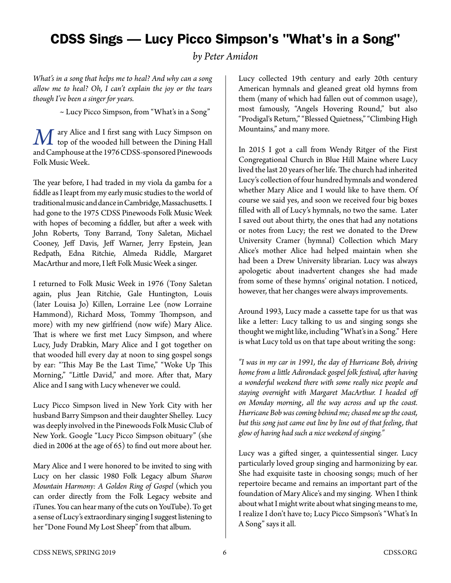## CDSS Sings — Lucy Picco Simpson's "What's in a Song"

*by Peter Amidon*

*What's in a song that helps me to heal? And why can a song allow me to heal? Oh, I can't explain the joy or the tears though I've been a singer for years.*

~ Lucy Picco Simpson, from "What's in a Song"

*M* ary Alice and I first sang with Lucy Simpson on<br>top of the wooded hill between the Dining Hall and Camphouse at the 1976 CDSS-sponsored Pinewoods Folk Music Week.

The year before, I had traded in my viola da gamba for a fiddle as I leapt from my early music studies to the world of traditional music and dance in Cambridge, Massachusetts. I had gone to the 1975 CDSS Pinewoods Folk Music Week with hopes of becoming a fiddler, but after a week with John Roberts, Tony Barrand, Tony Saletan, Michael Cooney, Jeff Davis, Jeff Warner, Jerry Epstein, Jean Redpath, Edna Ritchie, Almeda Riddle, Margaret MacArthur and more, I left Folk Music Week a singer.

I returned to Folk Music Week in 1976 (Tony Saletan again, plus Jean Ritchie, Gale Huntington, Louis (later Louisa Jo) Killen, Lorraine Lee (now Lorraine Hammond), Richard Moss, Tommy Thompson, and more) with my new girlfriend (now wife) Mary Alice. That is where we first met Lucy Simpson, and where Lucy, Judy Drabkin, Mary Alice and I got together on that wooded hill every day at noon to sing gospel songs by ear: "This May Be the Last Time," "Woke Up This Morning," "Little David," and more. After that, Mary Alice and I sang with Lucy whenever we could.

Lucy Picco Simpson lived in New York City with her husband Barry Simpson and their daughter Shelley. Lucy was deeply involved in the Pinewoods Folk Music Club of New York. Google "Lucy Picco Simpson obituary" (she died in 2006 at the age of 65) to find out more about her.

Mary Alice and I were honored to be invited to sing with Lucy on her classic 1980 Folk Legacy album *Sharon Mountain Harmony: A Golden Ring of Gospel* (which you can order directly from the Folk Legacy website and iTunes. You can hear many of the cuts on YouTube). To get a sense of Lucy's extraordinary singing I suggest listening to her "Done Found My Lost Sheep" from that album.

Lucy collected 19th century and early 20th century American hymnals and gleaned great old hymns from them (many of which had fallen out of common usage), most famously, "Angels Hovering Round," but also "Prodigal's Return," "Blessed Quietness," "Climbing High Mountains," and many more.

In 2015 I got a call from Wendy Ritger of the First Congregational Church in Blue Hill Maine where Lucy lived the last 20 years of her life. The church had inherited Lucy's collection of four hundred hymnals and wondered whether Mary Alice and I would like to have them. Of course we said yes, and soon we received four big boxes filled with all of Lucy's hymnals, no two the same. Later I saved out about thirty, the ones that had any notations or notes from Lucy; the rest we donated to the Drew University Cramer (hymnal) Collection which Mary Alice's mother Alice had helped maintain when she had been a Drew University librarian. Lucy was always apologetic about inadvertent changes she had made from some of these hymns' original notation. I noticed, however, that her changes were always improvements.

Around 1993, Lucy made a cassette tape for us that was like a letter: Lucy talking to us and singing songs she thought we might like, including "What's in a Song." Here is what Lucy told us on that tape about writing the song:

*"I was in my car in 1991, the day of Hurricane Bob, driving home from a little Adirondack gospel folk festival, after having a wonderful weekend there with some really nice people and staying overnight with Margaret MacArthur. I headed off on Monday morning, all the way across and up the coast. Hurricane Bob was coming behind me; chased me up the coast, but this song just came out line by line out of that feeling, that glow of having had such a nice weekend of singing."*

Lucy was a gifted singer, a quintessential singer. Lucy particularly loved group singing and harmonizing by ear. She had exquisite taste in choosing songs; much of her repertoire became and remains an important part of the foundation of Mary Alice's and my singing. When I think about what I might write about what singing means to me, I realize I don't have to; Lucy Picco Simpson's "What's In A Song" says it all.